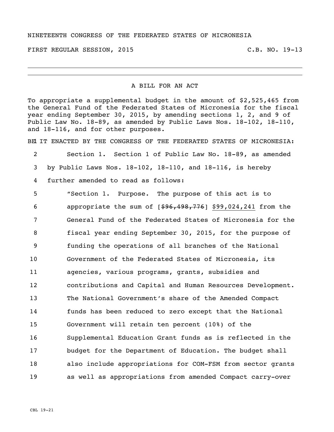## NINETEENTH CONGRESS OF THE FEDERATED STATES OF MICRONESIA

FIRST REGULAR SESSION, 2015 C.B. NO. 19-13

## A BILL FOR AN ACT

To appropriate a supplemental budget in the amount of \$2,525,465 from the General Fund of the Federated States of Micronesia for the fiscal year ending September 30, 2015, by amending sections 1, 2, and 9 of Public Law No. 18-89, as amended by Public Laws Nos. 18-102, 18-110, and 18-116, and for other purposes.

BE IT ENACTED BY THE CONGRESS OF THE FEDERATED STATES OF MICRONESIA:

 Section 1. Section 1 of Public Law No. 18-89, as amended by Public Laws Nos. 18-102, 18-110, and 18-116, is hereby further amended to read as follows:

 "Section 1. Purpose. The purpose of this act is to 6 appropriate the sum of  $[$96,198,776]$  \$99,024,241 from the General Fund of the Federated States of Micronesia for the fiscal year ending September 30, 2015, for the purpose of funding the operations of all branches of the National Government of the Federated States of Micronesia, its agencies, various programs, grants, subsidies and contributions and Capital and Human Resources Development. The National Government's share of the Amended Compact funds has been reduced to zero except that the National Government will retain ten percent (10%) of the Supplemental Education Grant funds as is reflected in the budget for the Department of Education. The budget shall also include appropriations for COM-FSM from sector grants as well as appropriations from amended Compact carry-over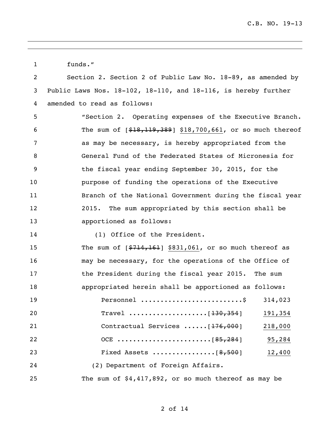funds." Section 2. Section 2 of Public Law No. 18-89, as amended by Public Laws Nos. 18-102, 18-110, and 18-116, is hereby further amended to read as follows: "Section 2. Operating expenses of the Executive Branch. The sum of [\$18,119,389] \$18,700,661, or so much thereof as may be necessary, is hereby appropriated from the General Fund of the Federated States of Micronesia for the fiscal year ending September 30, 2015, for the purpose of funding the operations of the Executive Branch of the National Government during the fiscal year 2015. The sum appropriated by this section shall be apportioned as follows: 14 (1) Office of the President. 15 The sum of  $\lceil 5714, 161 \rceil$  \$831,061, or so much thereof as may be necessary, for the operations of the Office of the President during the fiscal year 2015. The sum appropriated herein shall be apportioned as follows: Personnel ..........................\$ 314,023 Travel ....................[130,354] 191,354 Contractual Services ......[176,000] 218,000 OCE ........................[85,284] 95,284 23 Fixed Assets .....................[8,500] 12,400 (2) Department of Foreign Affairs. The sum of \$4,417,892, or so much thereof as may be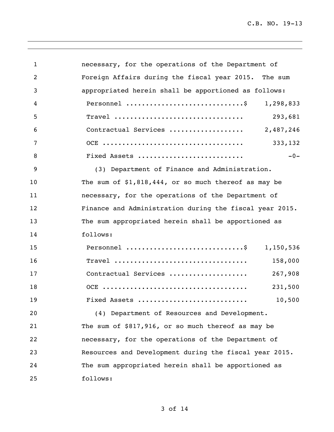C.B. NO. 19-13

| $\mathbf{1}$   | necessary, for the operations of the Department of                                             |  |
|----------------|------------------------------------------------------------------------------------------------|--|
| 2              | Foreign Affairs during the fiscal year 2015. The sum                                           |  |
| 3              | appropriated herein shall be apportioned as follows:                                           |  |
| 4              | Personnel \$<br>1,298,833                                                                      |  |
| 5              | 293,681<br>$\texttt{Trace1}\texttt{ } \ldots \ldots \ldots \ldots \ldots \ldots \ldots \ldots$ |  |
| 6              | Contractual Services<br>2,487,246                                                              |  |
| $\overline{7}$ | 333,132                                                                                        |  |
| 8              | $-0-$<br>Fixed Assets                                                                          |  |
| 9              | (3) Department of Finance and Administration.                                                  |  |
| 10             | The sum of $$1,818,444$ , or so much thereof as may be                                         |  |
| 11             | necessary, for the operations of the Department of                                             |  |
| 12             | Finance and Administration during the fiscal year 2015.                                        |  |
| 13             | The sum appropriated herein shall be apportioned as                                            |  |
| 14             | follows:                                                                                       |  |
| 15             | Personnel \$<br>1,150,536                                                                      |  |
| 16             | $\texttt{True}$<br>158,000                                                                     |  |
| 17             | Contractual Services<br>267,908                                                                |  |
| 18             | 231,500                                                                                        |  |
| 19             | 10,500<br>Fixed Assets                                                                         |  |
| 20             | (4) Department of Resources and Development.                                                   |  |
| 21             | The sum of \$817,916, or so much thereof as may be                                             |  |
| 22             | necessary, for the operations of the Department of                                             |  |
| 23             | Resources and Development during the fiscal year 2015.                                         |  |
| 24             | The sum appropriated herein shall be apportioned as                                            |  |
| 25             | follows:                                                                                       |  |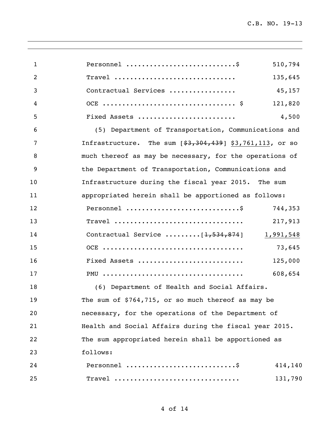| $\mathbf{1}$ | Personnel<br>510,794                                                                                            |
|--------------|-----------------------------------------------------------------------------------------------------------------|
| 2            | Travel<br>135,645                                                                                               |
| 3            | Contractual Services<br>45,157                                                                                  |
| 4            | 121,820                                                                                                         |
| 5            | Fixed Assets<br>4,500                                                                                           |
| 6            | (5) Department of Transportation, Communications and                                                            |
| 7            | Infrastructure. The sum $[$ \$3,304,439] \$3,761,113, or so                                                     |
| 8            | much thereof as may be necessary, for the operations of                                                         |
| 9            | the Department of Transportation, Communications and                                                            |
| 10           | Infrastructure during the fiscal year 2015. The sum                                                             |
| 11           | appropriated herein shall be apportioned as follows:                                                            |
| 12           | Personnel \$<br>744,353                                                                                         |
| 13           | Travel<br>217,913                                                                                               |
| 14           | Contractual Service $\ldots \ldots \ldots \lceil \frac{1}{7}, \frac{534}{1}, \frac{874}{1} \rceil$<br>1,991,548 |
| 15           | 73,645                                                                                                          |
| 16           | Fixed Assets<br>125,000                                                                                         |
| 17           | 608,654                                                                                                         |
| 18           | (6) Department of Health and Social Affairs.                                                                    |
| 19           | The sum of $$764,715$ , or so much thereof as may be                                                            |
| 20           | necessary, for the operations of the Department of                                                              |
| 21           | Health and Social Affairs during the fiscal year 2015.                                                          |
| 22           | The sum appropriated herein shall be apportioned as                                                             |
| 23           | follows:                                                                                                        |
| 24           | Personnel<br>414,140                                                                                            |
| 25           | Travel<br>131,790                                                                                               |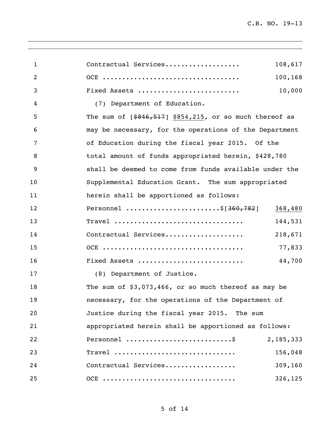| $\mathbf{1}$ | Contractual Services<br>108,617                            |
|--------------|------------------------------------------------------------|
| 2            | 100,168                                                    |
| 3            | 10,000<br>Fixed Assets                                     |
| 4            | (7) Department of Education.                               |
| 5            | The sum of $[ $846, 517]$ \$854,215, or so much thereof as |
| 6            | may be necessary, for the operations of the Department     |
| 7            | of Education during the fiscal year 2015. Of the           |
| 8            | total amount of funds appropriated herein, \$428,780       |
| 9            | shall be deemed to come from funds available under the     |
| 10           | Supplemental Education Grant. The sum appropriated         |
| 11           | herein shall be apportioned as follows:                    |
| 12           | Personnel \$[ <del>360,782</del> ]<br>368,480              |
| 13           | 144,531<br>$\texttt{Trace1}$                               |
| 14           | 218,671<br>Contractual Services                            |
| 15           | 77,833                                                     |
| 16           | 44,700<br>Fixed Assets                                     |
| 17           | (8) Department of Justice.                                 |
| 18           | The sum of $$3,073,466$ , or so much thereof as may be     |
| 19           | necessary, for the operations of the Department of         |
| 20           | Justice during the fiscal year 2015. The sum               |
| 21           | appropriated herein shall be apportioned as follows:       |
| 22           | Personnel<br>2,185,333                                     |
| 23           | Travel<br>156,048                                          |
| 24           | Contractual Services<br>309,160                            |
| 25           | OCE<br>326, 125                                            |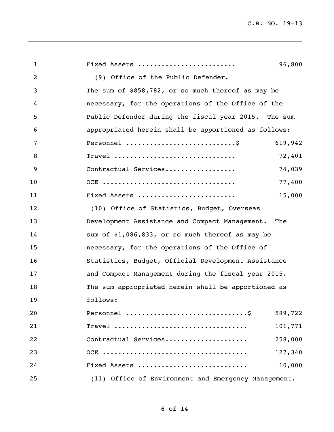| $\mathbf{1}$   | Fixed Assets                                         | 96,800  |
|----------------|------------------------------------------------------|---------|
| $\overline{2}$ | (9) Office of the Public Defender.                   |         |
| 3              | The sum of \$858,782, or so much thereof as may be   |         |
| 4              | necessary, for the operations of the Office of the   |         |
| 5              | Public Defender during the fiscal year 2015. The sum |         |
| 6              | appropriated herein shall be apportioned as follows: |         |
| 7              | Personnel                                            | 619,942 |
| 8              | Travel                                               | 72,401  |
| 9              | Contractual Services                                 | 74,039  |
| 10             |                                                      | 77,400  |
| 11             | Fixed Assets                                         | 15,000  |
| 12             | (10) Office of Statistics, Budget, Overseas          |         |
| 13             | Development Assistance and Compact Management.       | The     |
| 14             | sum of \$1,086,833, or so much thereof as may be     |         |
| 15             | necessary, for the operations of the Office of       |         |
| 16             | Statistics, Budget, Official Development Assistance  |         |
| 17             | and Compact Management during the fiscal year 2015.  |         |
| 18             | The sum appropriated herein shall be apportioned as  |         |
| 19             | follows:                                             |         |
| 20             |                                                      | 589,722 |
| 21             | $\texttt{Trace1}$                                    | 101,771 |
| 22             | Contractual Services                                 | 258,000 |
| 23             |                                                      | 127,340 |
| 24             | Fixed Assets                                         | 10,000  |
| 25             | (11) Office of Environment and Emergency Management. |         |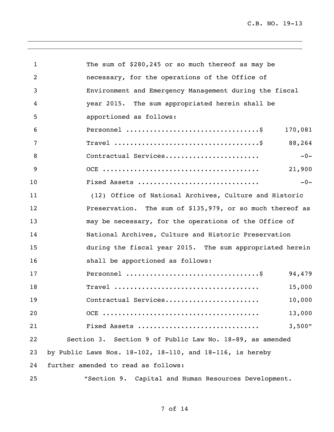| $\mathbf{1}$   | The sum of \$280,245 or so much thereof as may be         |
|----------------|-----------------------------------------------------------|
| 2              | necessary, for the operations of the Office of            |
| 3              | Environment and Emergency Management during the fiscal    |
| 4              | year 2015. The sum appropriated herein shall be           |
| 5              | apportioned as follows:                                   |
| 6              | 170,081                                                   |
| $\overline{7}$ | 88,264                                                    |
| 8              | $-0-$<br>Contractual Services                             |
| 9              | 21,900                                                    |
| 10             | $-0-$<br>Fixed Assets                                     |
| 11             | (12) Office of National Archives, Culture and Historic    |
| 12             | Preservation. The sum of \$135,979, or so much thereof as |
| 13             | may be necessary, for the operations of the Office of     |
| 14             | National Archives, Culture and Historic Preservation      |
| 15             | during the fiscal year 2015. The sum appropriated herein  |
| 16             | shall be apportioned as follows:                          |
| 17             | 94,479                                                    |
| 18             | 15,000                                                    |
| 19             | 10,000<br>Contractual Services                            |
| 20             | 13,000                                                    |
| 21             | 3,500"<br>Fixed Assets                                    |
| 22             | Section 3. Section 9 of Public Law No. 18-89, as amended  |
| 23             | by Public Laws Nos. 18-102, 18-110, and 18-116, is hereby |
| 24             | further amended to read as follows:                       |
| 25             | "Section 9. Capital and Human Resources Development.      |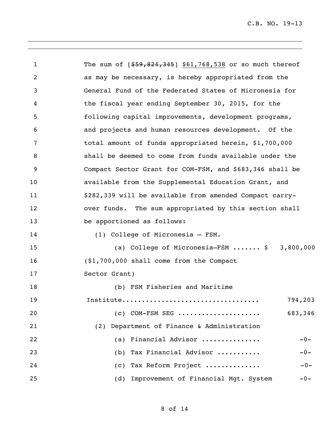1 The sum of  $[$ \$59,824,345] \$61,768,538 or so much thereof as may be necessary, is hereby appropriated from the General Fund of the Federated States of Micronesia for the fiscal year ending September 30, 2015, for the following capital improvements, development programs, and projects and human resources development. Of the total amount of funds appropriated herein, \$1,700,000 shall be deemed to come from funds available under the Compact Sector Grant for COM-FSM, and \$683,346 shall be available from the Supplemental Education Grant, and \$282,339 will be available from amended Compact carry- over funds. The sum appropriated by this section shall 13 be apportioned as follows: (1) College of Micronesia – FSM. (a) College of Micronesia–FSM ....... \$ 3,800,000 (\$1,700,000 shall come from the Compact Sector Grant) (b) FSM Fisheries and Maritime Institute................................... 794,203 **(c) COM-FSM SEG .....................** 683,346 (2) Department of Finance & Administration (a) Financial Advisor ............... -0- (b) Tax Financial Advisor ........... -0- (c) Tax Reform Project .............. -0- (d) Improvement of Financial Mgt. System -0-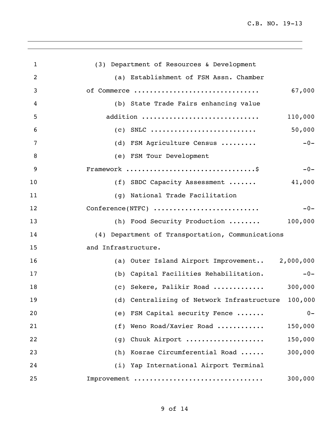C.B. NO. 19-13

| $\mathbf{1}$ | (3) Department of Resources & Development          |
|--------------|----------------------------------------------------|
| 2            | (a) Establishment of FSM Assn. Chamber             |
| 3            | 67,000<br>of Commerce                              |
| 4            | (b) State Trade Fairs enhancing value              |
| 5            | addition<br>110,000                                |
| 6            | 50,000                                             |
| 7            | (d) FSM Agriculture Census<br>$-0-$                |
| 8            | (e) FSM Tour Development                           |
| 9            | $-0-$                                              |
| 10           | (f) SBDC Capacity Assessment<br>41,000             |
| 11           | (g) National Trade Facilitation                    |
| 12           | Conference(NTFC)<br>$-0-$                          |
| 13           | (h) Food Security Production<br>100,000            |
| 14           | (4) Department of Transportation, Communications   |
| 15           | and Infrastructure.                                |
| 16           | (a) Outer Island Airport Improvement 2,000,000     |
| 17           | (b) Capital Facilities Rehabilitation.<br>$-0-$    |
| 18           | (c) Sekere, Palikir Road<br>300,000                |
| 19           | (d) Centralizing of Network Infrastructure 100,000 |
| 20           | (e) FSM Capital security Fence<br>$0 -$            |
| 21           | (f) Weno Road/Xavier Road<br>150,000               |
| 22           | 150,000<br>Chuuk Airport<br>(g)                    |
| 23           | 300,000<br>(h) Kosrae Circumferential Road         |
| 24           | (i) Yap International Airport Terminal             |
| 25           | Improvement<br>300,000                             |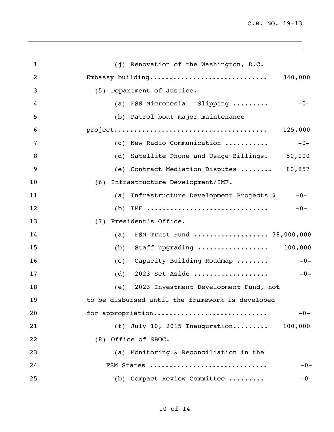| $\mathbf 1$ | (j) Renovation of the Washington, D.C.                 |
|-------------|--------------------------------------------------------|
| 2           | Embassy building<br>340,000                            |
| 3           | (5) Department of Justice.                             |
| 4           | (a) FSS Micronesia - Slipping $\ldots \ldots$<br>$-0-$ |
| 5           | (b) Patrol boat major maintenance                      |
| 6           | 125,000                                                |
| 7           | (c) New Radio Communication<br>$-0-$                   |
| 8           | (d) Satellite Phone and Usage Billings.<br>50,000      |
| 9           | (e) Contract Mediation Disputes  80,857                |
| 10          | Infrastructure Development/IMF.<br>(6)                 |
| 11          | (a) Infrastructure Development Projects \$<br>$-0-$    |
| 12          | $IMF$<br>$-0-$<br>(b)                                  |
| 13          | (7)<br>President's Office.                             |
| 14          | FSM Trust Fund  38,000,000<br>(a)                      |
| 15          | Staff upgrading  100,000<br>(b)                        |
| 16          | $-0-$<br>Capacity Building Roadmap<br>(C)              |
| 17          | 2023 Set Aside<br>$-0-$<br>(d)                         |
| 18          | 2023 Investment Development Fund, not<br>(e)           |
| 19          | to be disbursed until the framework is developed       |
| 20          | for appropriation<br>$-0-$                             |
| 21          | (f) July 10, 2015 Inauguration<br>100,000              |
| 22          | (8) Office of SBOC.                                    |
| 23          | (a) Monitoring & Reconciliation in the                 |
| 24          | FSM States<br>$-0-$                                    |
| 25          | (b) Compact Review Committee<br>$-0-$                  |
|             |                                                        |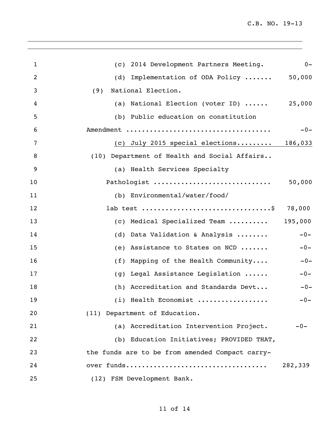| $\mathbf{1}$ | (c) 2014 Development Partners Meeting.             | $0 -$   |
|--------------|----------------------------------------------------|---------|
| 2            | (d) Implementation of ODA Policy                   | 50,000  |
| 3            | National Election.<br>(9)                          |         |
| 4            | (a) National Election (voter ID) $\ldots$ . 25,000 |         |
| 5            | (b) Public education on constitution               |         |
| 6            |                                                    | $-0-$   |
| 7            | (c) July 2015 special elections $186,033$          |         |
| 8            | (10) Department of Health and Social Affairs       |         |
| 9            | (a) Health Services Specialty                      |         |
| 10           | Pathologist                                        | 50,000  |
| 11           | (b) Environmental/water/food/                      |         |
| 12           |                                                    | 78,000  |
| 13           | (c) Medical Specialized Team  195,000              |         |
| 14           | (d) Data Validation & Analysis                     | $-0-$   |
| 15           | (e) Assistance to States on NCD                    | $-0-$   |
| 16           | (f) Mapping of the Health Community                | $-0-$   |
| 17           | Legal Assistance Legislation<br>(g)                | $-0-$   |
| 18           | (h) Accreditation and Standards Devt               | $-0-$   |
| 19           | (i) Health Economist                               | $-0-$   |
| 20           | (11) Department of Education.                      |         |
| 21           | (a) Accreditation Intervention Project.            | $-0-$   |
| 22           | (b) Education Initiatives; PROVIDED THAT,          |         |
| 23           | the funds are to be from amended Compact carry-    |         |
| 24           |                                                    | 282,339 |
| 25           | (12) FSM Development Bank.                         |         |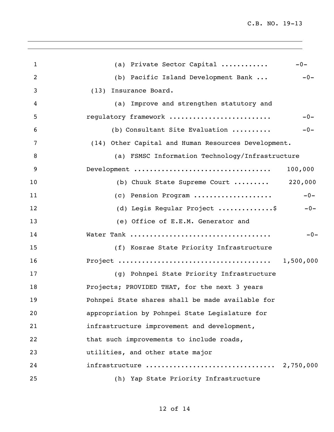| $\mathbf{1}$   | (a) Private Sector Capital                                                          | $-0-$     |
|----------------|-------------------------------------------------------------------------------------|-----------|
| 2              | (b) Pacific Island Development Bank                                                 | $-0-$     |
| 3              | (13) Insurance Board.                                                               |           |
| 4              | (a) Improve and strengthen statutory and                                            |           |
| 5              | regulatory framework                                                                | $-0-$     |
| 6              | (b) Consultant Site Evaluation                                                      | $-0-$     |
| 7              | (14) Other Capital and Human Resources Development.                                 |           |
| 8              | (a) FSMSC Information Technology/Infrastructure                                     |           |
| $\overline{9}$ | Development $\ldots \ldots \ldots \ldots \ldots \ldots \ldots \ldots \ldots \ldots$ | 100,000   |
| 10             | (b) Chuuk State Supreme Court  220,000                                              |           |
| 11             | (c) Pension Program                                                                 | $-0-$     |
| 12             | (d) Legis Regular Project \$                                                        | $-0-$     |
| 13             | (e) Office of E.E.M. Generator and                                                  |           |
| 14             |                                                                                     | $-0-$     |
| 15             | (f) Kosrae State Priority Infrastructure                                            |           |
| 16             |                                                                                     |           |
| 17             | (g) Pohnpei State Priority Infrastructure                                           |           |
| 18             | Projects; PROVIDED THAT, for the next 3 years                                       |           |
| 19             | Pohnpei State shares shall be made available for                                    |           |
| 20             | appropriation by Pohnpei State Legislature for                                      |           |
| 21             | infrastructure improvement and development,                                         |           |
| 22             | that such improvements to include roads,                                            |           |
| 23             | utilities, and other state major                                                    |           |
| 24             | infrastructure                                                                      | 2,750,000 |
| 25             | (h) Yap State Priority Infrastructure                                               |           |
|                |                                                                                     |           |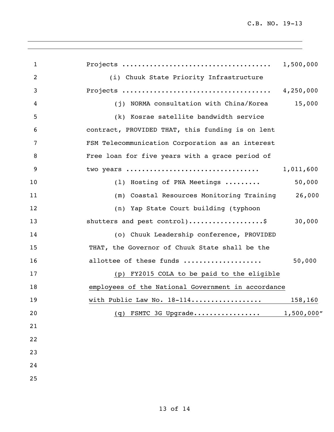| 1              |                                                    | 1,500,000  |
|----------------|----------------------------------------------------|------------|
| $\overline{2}$ | (i) Chuuk State Priority Infrastructure            |            |
| 3              |                                                    | 4,250,000  |
| 4              | (j) NORMA consultation with China/Korea            | 15,000     |
| 5              | (k) Kosrae satellite bandwidth service             |            |
| 6              | contract, PROVIDED THAT, this funding is on lent   |            |
| 7              | FSM Telecommunication Corporation as an interest   |            |
| 8              | Free loan for five years with a grace period of    |            |
| 9              | two years                                          | 1,011,600  |
| 10             | (1) Hosting of PNA Meetings                        | 50,000     |
| 11             | (m) Coastal Resources Monitoring Training          | 26,000     |
| 12             | (n) Yap State Court building (typhoon              |            |
| 13             | shutters and pest control)\$                       | 30,000     |
| 14             | (o) Chuuk Leadership conference, PROVIDED          |            |
| 15             | THAT, the Governor of Chuuk State shall be the     |            |
| 16             | allottee of these funds                            | 50,000     |
| 17             | (p) FY2015 COLA to be paid to the eligible         |            |
| 18             | employees of the National Government in accordance |            |
| 19             | with Public Law No. 18-114                         | 158,160    |
| 20             | (q) FSMTC 3G Upgrade                               | 1,500,000" |
| 21             |                                                    |            |
| 22             |                                                    |            |
| 23             |                                                    |            |
| 24             |                                                    |            |
| 25             |                                                    |            |